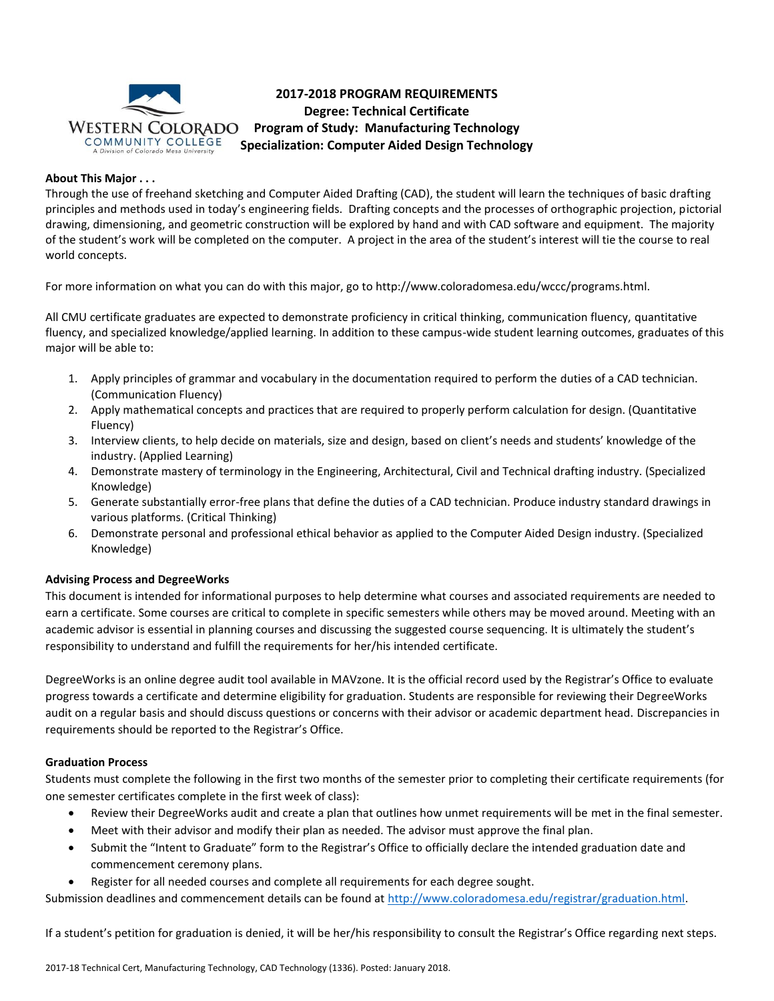

# **2017-2018 PROGRAM REQUIREMENTS Degree: Technical Certificate Program of Study: Manufacturing Technology Specialization: Computer Aided Design Technology**

# **About This Major . . .**

Through the use of freehand sketching and Computer Aided Drafting (CAD), the student will learn the techniques of basic drafting principles and methods used in today's engineering fields. Drafting concepts and the processes of orthographic projection, pictorial drawing, dimensioning, and geometric construction will be explored by hand and with CAD software and equipment. The majority of the student's work will be completed on the computer. A project in the area of the student's interest will tie the course to real world concepts.

For more information on what you can do with this major, go to http://www.coloradomesa.edu/wccc/programs.html.

All CMU certificate graduates are expected to demonstrate proficiency in critical thinking, communication fluency, quantitative fluency, and specialized knowledge/applied learning. In addition to these campus-wide student learning outcomes, graduates of this major will be able to:

- 1. Apply principles of grammar and vocabulary in the documentation required to perform the duties of a CAD technician. (Communication Fluency)
- 2. Apply mathematical concepts and practices that are required to properly perform calculation for design. (Quantitative Fluency)
- 3. Interview clients, to help decide on materials, size and design, based on client's needs and students' knowledge of the industry. (Applied Learning)
- 4. Demonstrate mastery of terminology in the Engineering, Architectural, Civil and Technical drafting industry. (Specialized Knowledge)
- 5. Generate substantially error-free plans that define the duties of a CAD technician. Produce industry standard drawings in various platforms. (Critical Thinking)
- 6. Demonstrate personal and professional ethical behavior as applied to the Computer Aided Design industry. (Specialized Knowledge)

# **Advising Process and DegreeWorks**

This document is intended for informational purposes to help determine what courses and associated requirements are needed to earn a certificate. Some courses are critical to complete in specific semesters while others may be moved around. Meeting with an academic advisor is essential in planning courses and discussing the suggested course sequencing. It is ultimately the student's responsibility to understand and fulfill the requirements for her/his intended certificate.

DegreeWorks is an online degree audit tool available in MAVzone. It is the official record used by the Registrar's Office to evaluate progress towards a certificate and determine eligibility for graduation. Students are responsible for reviewing their DegreeWorks audit on a regular basis and should discuss questions or concerns with their advisor or academic department head. Discrepancies in requirements should be reported to the Registrar's Office.

# **Graduation Process**

Students must complete the following in the first two months of the semester prior to completing their certificate requirements (for one semester certificates complete in the first week of class):

- Review their DegreeWorks audit and create a plan that outlines how unmet requirements will be met in the final semester.
- Meet with their advisor and modify their plan as needed. The advisor must approve the final plan.
- Submit the "Intent to Graduate" form to the Registrar's Office to officially declare the intended graduation date and commencement ceremony plans.
- Register for all needed courses and complete all requirements for each degree sought.

Submission deadlines and commencement details can be found at [http://www.coloradomesa.edu/registrar/graduation.html.](http://www.coloradomesa.edu/registrar/graduation.html)

If a student's petition for graduation is denied, it will be her/his responsibility to consult the Registrar's Office regarding next steps.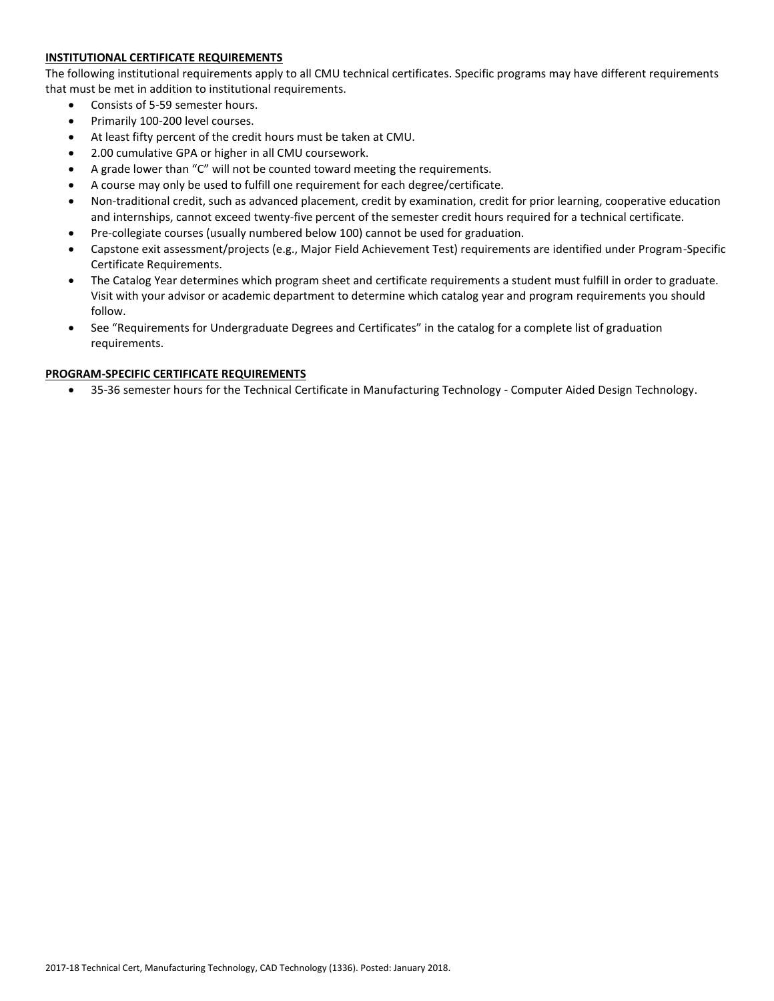# **INSTITUTIONAL CERTIFICATE REQUIREMENTS**

The following institutional requirements apply to all CMU technical certificates. Specific programs may have different requirements that must be met in addition to institutional requirements.

- Consists of 5-59 semester hours.
- Primarily 100-200 level courses.
- At least fifty percent of the credit hours must be taken at CMU.
- 2.00 cumulative GPA or higher in all CMU coursework.
- A grade lower than "C" will not be counted toward meeting the requirements.
- A course may only be used to fulfill one requirement for each degree/certificate.
- Non-traditional credit, such as advanced placement, credit by examination, credit for prior learning, cooperative education and internships, cannot exceed twenty-five percent of the semester credit hours required for a technical certificate.
- Pre-collegiate courses (usually numbered below 100) cannot be used for graduation.
- Capstone exit assessment/projects (e.g., Major Field Achievement Test) requirements are identified under Program-Specific Certificate Requirements.
- The Catalog Year determines which program sheet and certificate requirements a student must fulfill in order to graduate. Visit with your advisor or academic department to determine which catalog year and program requirements you should follow.
- See "Requirements for Undergraduate Degrees and Certificates" in the catalog for a complete list of graduation requirements.

## **PROGRAM-SPECIFIC CERTIFICATE REQUIREMENTS**

35-36 semester hours for the Technical Certificate in Manufacturing Technology - Computer Aided Design Technology.